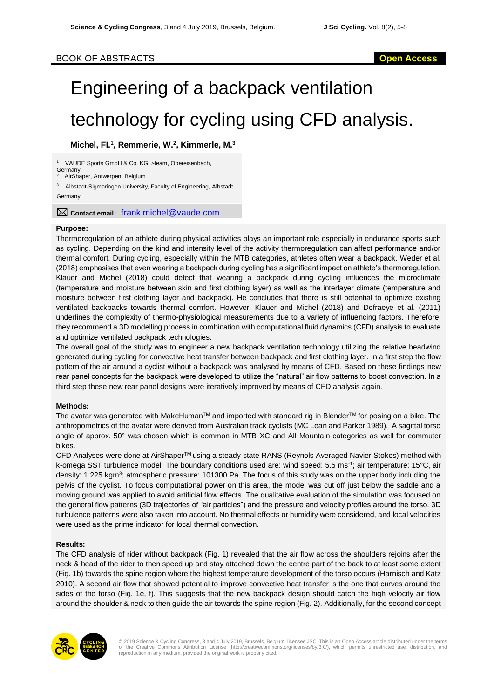## BOOK OF ABSTRACTS **Open Access**

# Engineering of a backpack ventilation technology for cycling using CFD analysis.

### **Michel, FI. 1 , Remmerie, W. 2 , Kimmerle, M. 3**

<sup>1</sup> VAUDE Sports GmbH & Co. KG, *i*-team, Obereisenbach, **Germany** 

AirShaper, Antwerpen, Belgium

<sup>3</sup> Albstadt-Sigmaringen University, Faculty of Engineering, Albstadt, **Germany** 

**Contact email:** [frank.michel@vaude.com](mailto:frank.michel@vaude.com)

#### **Purpose:**

Thermoregulation of an athlete during physical activities plays an important role especially in endurance sports such as cycling. Depending on the kind and intensity level of the activity thermoregulation can affect performance and/or thermal comfort. During cycling, especially within the MTB categories, athletes often wear a backpack. Weder et al. (2018) emphasises that even wearing a backpack during cycling has a significant impact on athlete's thermoregulation. Klauer and Michel (2018) could detect that wearing a backpack during cycling influences the microclimate (temperature and moisture between skin and first clothing layer) as well as the interlayer climate (temperature and moisture between first clothing layer and backpack). He concludes that there is still potential to optimize existing ventilated backpacks towards thermal comfort. However, Klauer and Michel (2018) and Defraeye et al. (2011) underlines the complexity of thermo-physiological measurements due to a variety of influencing factors. Therefore, they recommend a 3D modelling process in combination with computational fluid dynamics (CFD) analysis to evaluate and optimize ventilated backpack technologies.

The overall goal of the study was to engineer a new backpack ventilation technology utilizing the relative headwind generated during cycling for convective heat transfer between backpack and first clothing layer. In a first step the flow pattern of the air around a cyclist without a backpack was analysed by means of CFD. Based on these findings new rear panel concepts for the backpack were developed to utilize the "natural" air flow patterns to boost convection. In a third step these new rear panel designs were iteratively improved by means of CFD analysis again.

#### **Methods:**

The avatar was generated with MakeHuman™ and imported with standard rig in Blender™ for posing on a bike. The anthropometrics of the avatar were derived from Australian track cyclists (MC Lean and Parker 1989). A sagittal torso angle of approx. 50° was chosen which is common in MTB XC and All Mountain categories as well for commuter bikes.

CFD Analyses were done at AirShaperTM using a steady-state RANS (Reynols Averaged Navier Stokes) method with k-omega SST turbulence model. The boundary conditions used are: wind speed: 5.5 ms<sup>-1</sup>; air temperature: 15°C, air density: 1.225 kgm<sup>3</sup>; atmospheric pressure: 101300 Pa. The focus of this study was on the upper body including the pelvis of the cyclist. To focus computational power on this area, the model was cut off just below the saddle and a moving ground was applied to avoid artificial flow effects. The qualitative evaluation of the simulation was focused on the general flow patterns (3D trajectories of "air particles") and the pressure and velocity profiles around the torso. 3D turbulence patterns were also taken into account. No thermal effects or humidity were considered, and local velocities were used as the prime indicator for local thermal convection.

#### **Results:**

The CFD analysis of rider without backpack (Fig. 1) revealed that the air flow across the shoulders rejoins after the neck & head of the rider to then speed up and stay attached down the centre part of the back to at least some extent (Fig. 1b) towards the spine region where the highest temperature development of the torso occurs (Harnisch and Katz 2010). A second air flow that showed potential to improve convective heat transfer is the one that curves around the sides of the torso (Fig. 1e, f). This suggests that the new backpack design should catch the high velocity air flow around the shoulder & neck to then guide the air towards the spine region (Fig. 2). Additionally, for the second concept

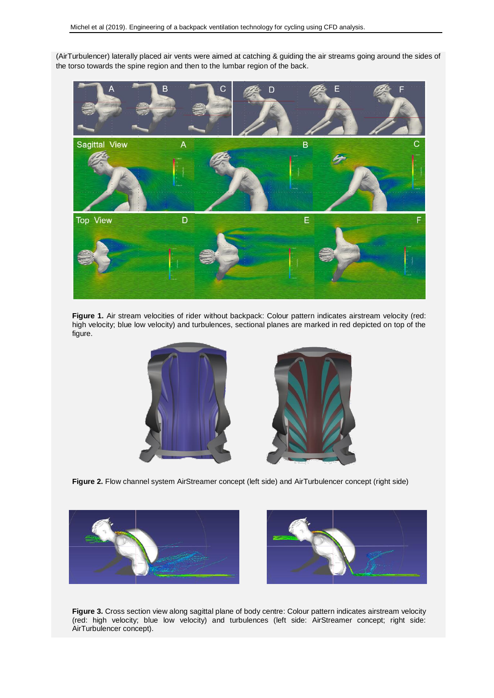(AirTurbulencer) laterally placed air vents were aimed at catching & guiding the air streams going around the sides of the torso towards the spine region and then to the lumbar region of the back.



**Figure 1.** Air stream velocities of rider without backpack: Colour pattern indicates airstream velocity (red: high velocity; blue low velocity) and turbulences, sectional planes are marked in red depicted on top of the figure.





**Figure 2.** Flow channel system AirStreamer concept (left side) and AirTurbulencer concept (right side)





**Figure 3.** Cross section view along sagittal plane of body centre: Colour pattern indicates airstream velocity (red: high velocity; blue low velocity) and turbulences (left side: AirStreamer concept; right side: AirTurbulencer concept).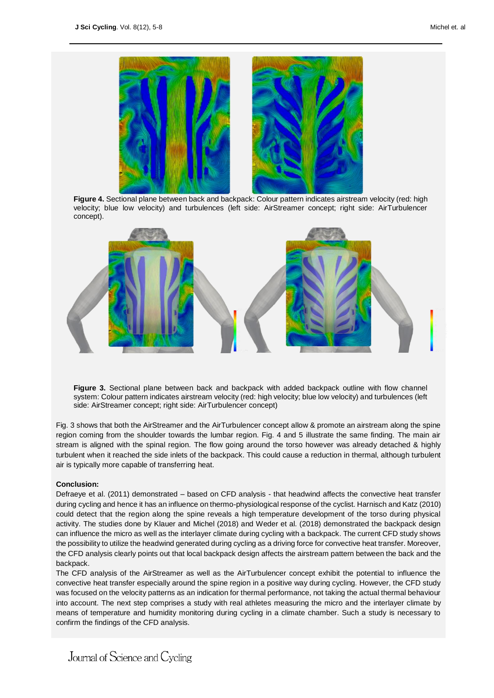

**Figure 4.** Sectional plane between back and backpack: Colour pattern indicates airstream velocity (red: high velocity; blue low velocity) and turbulences (left side: AirStreamer concept; right side: AirTurbulencer concept).



**Figure 3.** Sectional plane between back and backpack with added backpack outline with flow channel system: Colour pattern indicates airstream velocity (red: high velocity; blue low velocity) and turbulences (left side: AirStreamer concept; right side: AirTurbulencer concept)

Fig. 3 shows that both the AirStreamer and the AirTurbulencer concept allow & promote an airstream along the spine region coming from the shoulder towards the lumbar region. Fig. 4 and 5 illustrate the same finding. The main air stream is aligned with the spinal region. The flow going around the torso however was already detached & highly turbulent when it reached the side inlets of the backpack. This could cause a reduction in thermal, although turbulent air is typically more capable of transferring heat.

#### **Conclusion:**

Defraeye et al. (2011) demonstrated – based on CFD analysis - that headwind affects the convective heat transfer during cycling and hence it has an influence on thermo-physiological response of the cyclist. Harnisch and Katz (2010) could detect that the region along the spine reveals a high temperature development of the torso during physical activity. The studies done by Klauer and Michel (2018) and Weder et al. (2018) demonstrated the backpack design can influence the micro as well as the interlayer climate during cycling with a backpack. The current CFD study shows the possibility to utilize the headwind generated during cycling as a driving force for convective heat transfer. Moreover, the CFD analysis clearly points out that local backpack design affects the airstream pattern between the back and the backpack.

The CFD analysis of the AirStreamer as well as the AirTurbulencer concept exhibit the potential to influence the convective heat transfer especially around the spine region in a positive way during cycling. However, the CFD study was focused on the velocity patterns as an indication for thermal performance, not taking the actual thermal behaviour into account. The next step comprises a study with real athletes measuring the micro and the interlayer climate by means of temperature and humidity monitoring during cycling in a climate chamber. Such a study is necessary to confirm the findings of the CFD analysis.